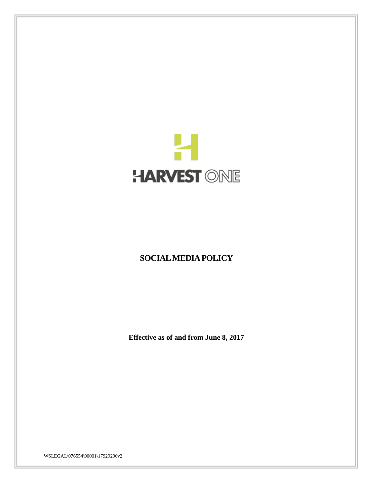

# **SOCIAL MEDIA POLICY**

**Effective as of and from June 8, 2017**

WSLEGAL\076554\00001\17929296v2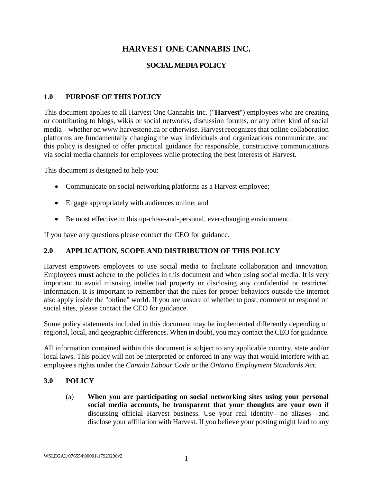# **HARVEST ONE CANNABIS INC.**

## **SOCIAL MEDIA POLICY**

## **1.0 PURPOSE OF THIS POLICY**

This document applies to all Harvest One Cannabis Inc. ("**Harvest**") employees who are creating or contributing to blogs, wikis or social networks, discussion forums, or any other kind of social media – whether on www.harvestone.ca or otherwise. Harvest recognizes that online collaboration platforms are fundamentally changing the way individuals and organizations communicate, and this policy is designed to offer practical guidance for responsible, constructive communications via social media channels for employees while protecting the best interests of Harvest.

This document is designed to help you:

- Communicate on social networking platforms as a Harvest employee;
- Engage appropriately with audiences online; and
- Be most effective in this up-close-and-personal, ever-changing environment.

If you have any questions please contact the CEO for guidance.

#### **2.0 APPLICATION, SCOPE AND DISTRIBUTION OF THIS POLICY**

Harvest empowers employees to use social media to facilitate collaboration and innovation. Employees **must** adhere to the policies in this document and when using social media. It is very important to avoid misusing intellectual property or disclosing any confidential or restricted information. It is important to remember that the rules for proper behaviors outside the internet also apply inside the "online" world. If you are unsure of whether to post, comment or respond on social sites, please contact the CEO for guidance.

Some policy statements included in this document may be implemented differently depending on regional, local, and geographic differences. When in doubt, you may contact the CEO for guidance.

All information contained within this document is subject to any applicable country, state and/or local laws. This policy will not be interpreted or enforced in any way that would interfere with an employee's rights under the *Canada Labour Code* or the *Ontario Employment Standards Act*.

#### **3.0 POLICY**

(a) **When you are participating on social networking sites using your personal social media accounts, be transparent that your thoughts are your own** if discussing official Harvest business. Use your real identity—no aliases—and disclose your affiliation with Harvest. If you believe your posting might lead to any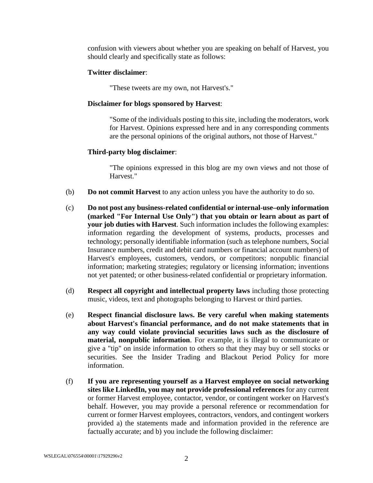confusion with viewers about whether you are speaking on behalf of Harvest, you should clearly and specifically state as follows:

#### **Twitter disclaimer**:

"These tweets are my own, not Harvest's."

#### **Disclaimer for blogs sponsored by Harvest**:

"Some of the individuals posting to this site, including the moderators, work for Harvest. Opinions expressed here and in any corresponding comments are the personal opinions of the original authors, not those of Harvest."

#### **Third-party blog disclaimer**:

"The opinions expressed in this blog are my own views and not those of Harvest."

- (b) **Do not commit Harvest** to any action unless you have the authority to do so.
- (c) **Do not post any business-related confidential or internal-use–only information (marked "For Internal Use Only") that you obtain or learn about as part of your job duties with Harvest**. Such information includes the following examples: information regarding the development of systems, products, processes and technology; personally identifiable information (such as telephone numbers, Social Insurance numbers, credit and debit card numbers or financial account numbers) of Harvest's employees, customers, vendors, or competitors; nonpublic financial information; marketing strategies; regulatory or licensing information; inventions not yet patented; or other business-related confidential or proprietary information.
- (d) **Respect all copyright and intellectual property laws** including those protecting music, videos, text and photographs belonging to Harvest or third parties.
- (e) **Respect financial disclosure laws. Be very careful when making statements about Harvest's financial performance, and do not make statements that in any way could violate provincial securities laws such as the disclosure of material, nonpublic information**. For example, it is illegal to communicate or give a "tip" on inside information to others so that they may buy or sell stocks or securities. See the Insider Trading and Blackout Period Policy for more information.
- (f) **If you are representing yourself as a Harvest employee on social networking sites like LinkedIn, you may not provide professional references** for any current or former Harvest employee, contactor, vendor, or contingent worker on Harvest's behalf. However, you may provide a personal reference or recommendation for current or former Harvest employees, contractors, vendors, and contingent workers provided a) the statements made and information provided in the reference are factually accurate; and b) you include the following disclaimer: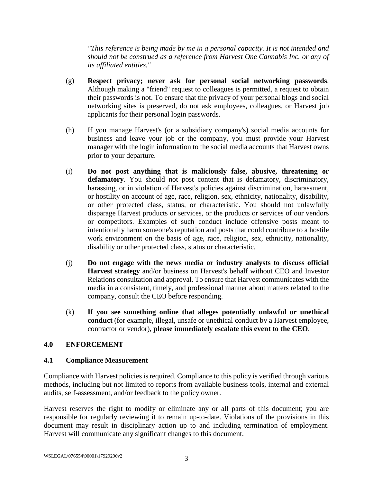*"This reference is being made by me in a personal capacity. It is not intended and should not be construed as a reference from Harvest One Cannabis Inc. or any of its affiliated entities."*

- (g) **Respect privacy; never ask for personal social networking passwords**. Although making a "friend" request to colleagues is permitted, a request to obtain their passwords is not. To ensure that the privacy of your personal blogs and social networking sites is preserved, do not ask employees, colleagues, or Harvest job applicants for their personal login passwords.
- (h) If you manage Harvest's (or a subsidiary company's) social media accounts for business and leave your job or the company, you must provide your Harvest manager with the login information to the social media accounts that Harvest owns prior to your departure.
- (i) **Do not post anything that is maliciously false, abusive, threatening or defamatory**. You should not post content that is defamatory, discriminatory, harassing, or in violation of Harvest's policies against discrimination, harassment, or hostility on account of age, race, religion, sex, ethnicity, nationality, disability, or other protected class, status, or characteristic. You should not unlawfully disparage Harvest products or services, or the products or services of our vendors or competitors. Examples of such conduct include offensive posts meant to intentionally harm someone's reputation and posts that could contribute to a hostile work environment on the basis of age, race, religion, sex, ethnicity, nationality, disability or other protected class, status or characteristic.
- (j) **Do not engage with the news media or industry analysts to discuss official Harvest strategy** and/or business on Harvest's behalf without CEO and Investor Relations consultation and approval. To ensure that Harvest communicates with the media in a consistent, timely, and professional manner about matters related to the company, consult the CEO before responding.
- (k) **If you see something online that alleges potentially unlawful or unethical conduct** (for example, illegal, unsafe or unethical conduct by a Harvest employee, contractor or vendor), **please immediately escalate this event to the CEO**.

## **4.0 ENFORCEMENT**

#### **4.1 Compliance Measurement**

Compliance with Harvest policies is required. Compliance to this policy is verified through various methods, including but not limited to reports from available business tools, internal and external audits, self-assessment, and/or feedback to the policy owner.

Harvest reserves the right to modify or eliminate any or all parts of this document; you are responsible for regularly reviewing it to remain up-to-date. Violations of the provisions in this document may result in disciplinary action up to and including termination of employment. Harvest will communicate any significant changes to this document.